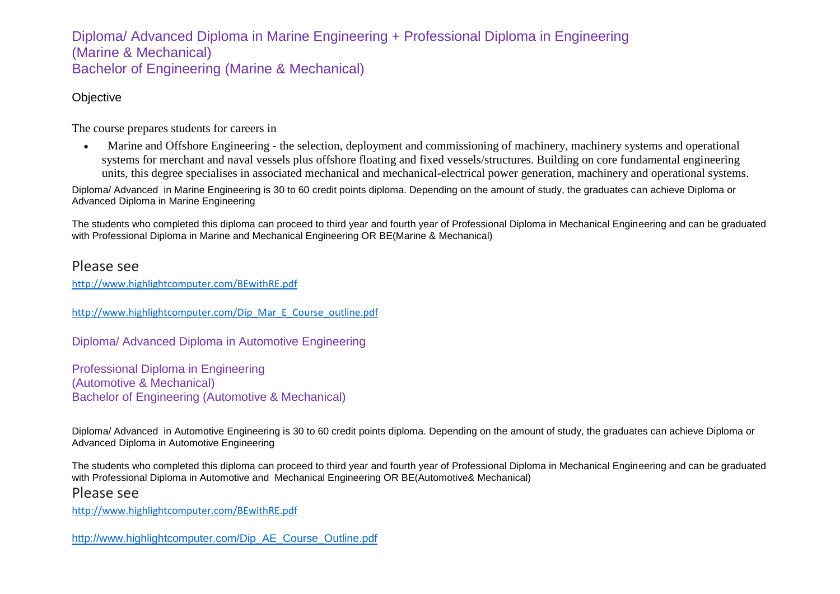## Diploma/ Advanced Diploma in Marine Engineering + Professional Diploma in Engineering (Marine & Mechanical) Bachelor of Engineering (Marine & Mechanical)

#### **Objective**

The course prepares students for careers in

 Marine and Offshore Engineering - the selection, deployment and commissioning of machinery, machinery systems and operational systems for merchant and naval vessels plus offshore floating and fixed vessels/structures. Building on core fundamental engineering units, this degree specialises in associated mechanical and mechanical-electrical power generation, machinery and operational systems.

Diploma/ Advanced in Marine Engineering is 30 to 60 credit points diploma. Depending on the amount of study, the graduates can achieve Diploma or Advanced Diploma in Marine Engineering

The students who completed this diploma can proceed to third year and fourth year of Professional Diploma in Mechanical Engineering and can be graduated with Professional Diploma in Marine and Mechanical Engineering OR BE(Marine & Mechanical)

#### Please see

<http://www.highlightcomputer.com/BEwithRE.pdf>

[http://www.highlightcomputer.com/Dip\\_Mar\\_E\\_Course\\_outline.pdf](http://www.highlightcomputer.com/Dip_Mar_E_Course_outline.pdf)

Diploma/ Advanced Diploma in Automotive Engineering

Professional Diploma in Engineering (Automotive & Mechanical) Bachelor of Engineering (Automotive & Mechanical)

Diploma/ Advanced in Automotive Engineering is 30 to 60 credit points diploma. Depending on the amount of study, the graduates can achieve Diploma or Advanced Diploma in Automotive Engineering

The students who completed this diploma can proceed to third year and fourth year of Professional Diploma in Mechanical Engineering and can be graduated with Professional Diploma in Automotive and Mechanical Engineering OR BE(Automotive& Mechanical)

#### Please see

<http://www.highlightcomputer.com/BEwithRE.pdf>

[http://www.highlightcomputer.com/Dip\\_AE\\_Course\\_Outline.pdf](http://www.highlightcomputer.com/Dip_AE_Course_Outline.pdf)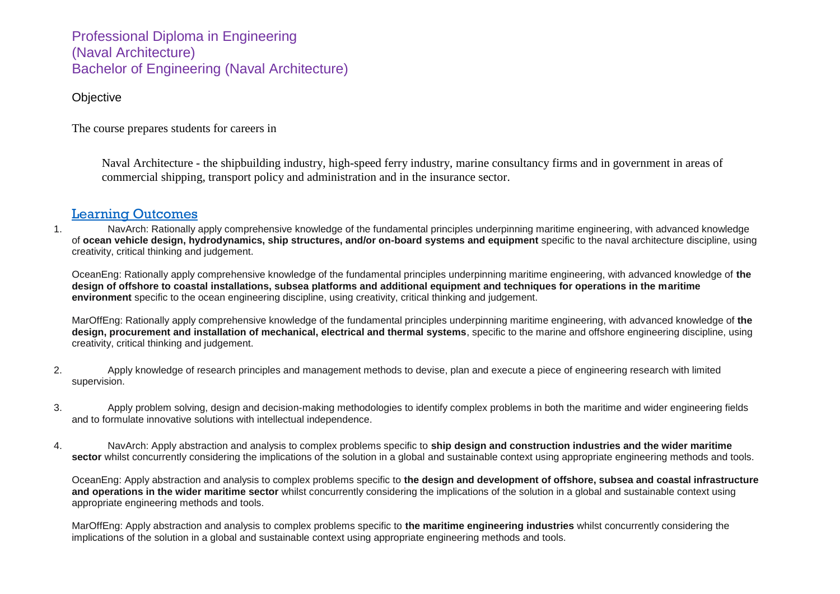Professional Diploma in Engineering (Naval Architecture) Bachelor of Engineering (Naval Architecture)

#### **Objective**

The course prepares students for careers in

Naval Architecture - the shipbuilding industry, high-speed ferry industry, marine consultancy firms and in government in areas of commercial shipping, transport policy and administration and in the insurance sector.

### [Learning Outcomes](http://www.utas.edu.au/courses/cse/courses/p4f1-bachelor-of-engineering-specialisation-with-honours#learning-outcomes)

1. NavArch: Rationally apply comprehensive knowledge of the fundamental principles underpinning maritime engineering, with advanced knowledge of **ocean vehicle design, hydrodynamics, ship structures, and/or on-board systems and equipment** specific to the naval architecture discipline, using creativity, critical thinking and judgement.

OceanEng: Rationally apply comprehensive knowledge of the fundamental principles underpinning maritime engineering, with advanced knowledge of **the design of offshore to coastal installations, subsea platforms and additional equipment and techniques for operations in the maritime environment** specific to the ocean engineering discipline, using creativity, critical thinking and judgement.

MarOffEng: Rationally apply comprehensive knowledge of the fundamental principles underpinning maritime engineering, with advanced knowledge of **the design, procurement and installation of mechanical, electrical and thermal systems**, specific to the marine and offshore engineering discipline, using creativity, critical thinking and judgement.

- 2. Apply knowledge of research principles and management methods to devise, plan and execute a piece of engineering research with limited supervision.
- 3. Apply problem solving, design and decision-making methodologies to identify complex problems in both the maritime and wider engineering fields and to formulate innovative solutions with intellectual independence.
- 4. NavArch: Apply abstraction and analysis to complex problems specific to **ship design and construction industries and the wider maritime**  sector whilst concurrently considering the implications of the solution in a global and sustainable context using appropriate engineering methods and tools.

OceanEng: Apply abstraction and analysis to complex problems specific to **the design and development of offshore, subsea and coastal infrastructure and operations in the wider maritime sector** whilst concurrently considering the implications of the solution in a global and sustainable context using appropriate engineering methods and tools.

MarOffEng: Apply abstraction and analysis to complex problems specific to **the maritime engineering industries** whilst concurrently considering the implications of the solution in a global and sustainable context using appropriate engineering methods and tools.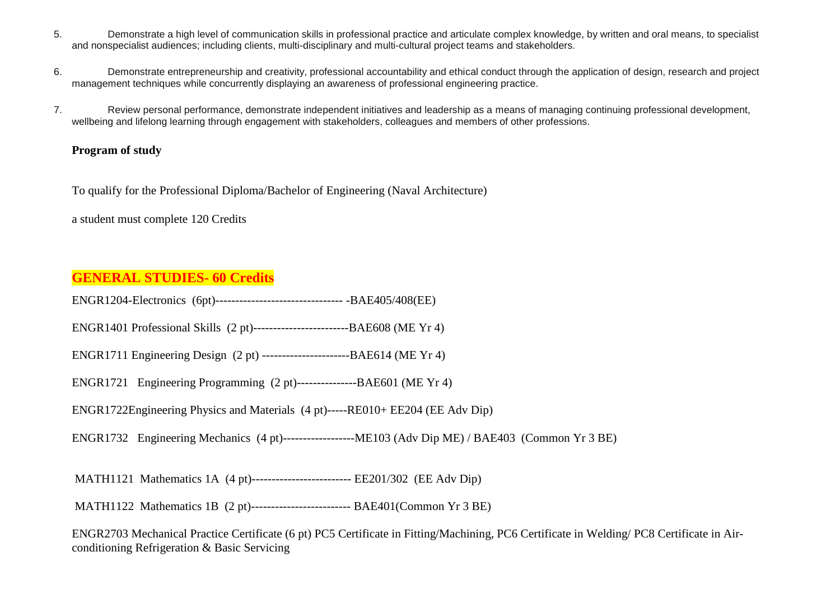- 5. Demonstrate a high level of communication skills in professional practice and articulate complex knowledge, by written and oral means, to specialist and nonspecialist audiences; including clients, multi-disciplinary and multi-cultural project teams and stakeholders.
- 6. Demonstrate entrepreneurship and creativity, professional accountability and ethical conduct through the application of design, research and project management techniques while concurrently displaying an awareness of professional engineering practice.
- 7. Review personal performance, demonstrate independent initiatives and leadership as a means of managing continuing professional development, wellbeing and lifelong learning through engagement with stakeholders, colleagues and members of other professions.

#### **Program of study**

To qualify for the Professional Diploma/Bachelor of Engineering (Naval Architecture)

a student must complete 120 Credits

## **GENERAL STUDIES- 60 Credits**

ENGR1204-Electronics (6pt)-------------------------------- -BAE405/408(EE)

ENGR1401 Professional Skills (2 pt)------------------------BAE608 (ME Yr 4)

ENGR1711 Engineering Design (2 pt) ----------------------BAE614 (ME Yr 4)

ENGR1721 Engineering Programming (2 pt)---------------BAE601 (ME Yr 4)

ENGR1722Engineering Physics and Materials (4 pt)-----RE010+ EE204 (EE Adv Dip)

ENGR1732 Engineering Mechanics (4 pt)------------------ME103 (Adv Dip ME) / BAE403 (Common Yr 3 BE)

MATH1121 Mathematics 1A (4 pt)------------------------- EE201/302 (EE Adv Dip)

MATH1122 Mathematics 1B (2 pt)------------------------- BAE401(Common Yr 3 BE)

ENGR2703 Mechanical Practice Certificate (6 pt) PC5 Certificate in Fitting/Machining, PC6 Certificate in Welding/ PC8 Certificate in Airconditioning Refrigeration & Basic Servicing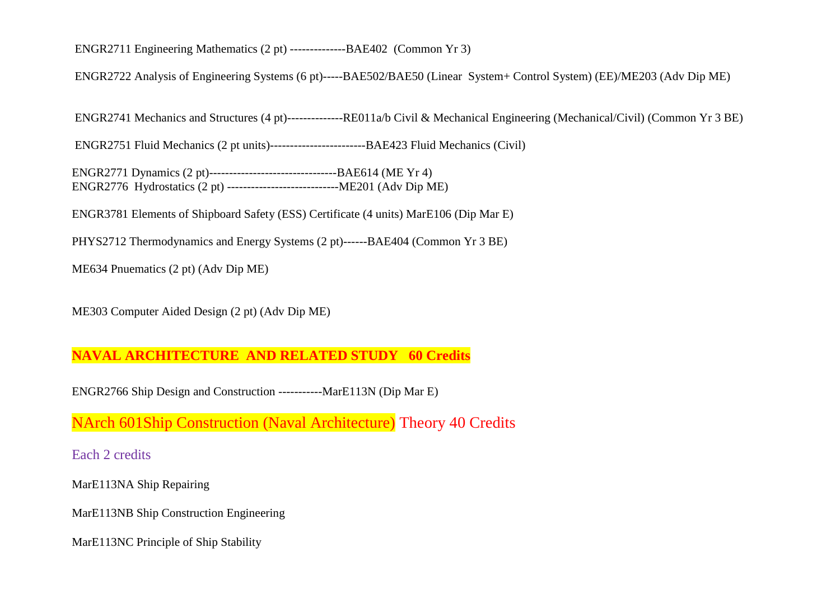ENGR2711 Engineering Mathematics (2 pt) --------------BAE402 (Common Yr 3)

ENGR2722 Analysis of Engineering Systems (6 pt)-----BAE502/BAE50 (Linear System+ Control System) (EE)/ME203 (Adv Dip ME)

ENGR2741 Mechanics and Structures (4 pt)--------------RE011a/b Civil & Mechanical Engineering (Mechanical/Civil) (Common Yr 3 BE)

ENGR2751 Fluid Mechanics (2 pt units)------------------------BAE423 Fluid Mechanics (Civil)

ENGR2771 Dynamics (2 pt)--------------------------------BAE614 (ME Yr 4) ENGR2776 Hydrostatics (2 pt) ----------------------------ME201 (Adv Dip ME)

ENGR3781 Elements of Shipboard Safety (ESS) Certificate (4 units) MarE106 (Dip Mar E)

PHYS2712 Thermodynamics and Energy Systems (2 pt)------BAE404 (Common Yr 3 BE)

ME634 Pnuematics (2 pt) (Adv Dip ME)

ME303 Computer Aided Design (2 pt) (Adv Dip ME)

## **NAVAL ARCHITECTURE AND RELATED STUDY 60 Credits**

ENGR2766 Ship Design and Construction -----------MarE113N (Dip Mar E)

NArch 601Ship Construction (Naval Architecture) Theory 40 Credits

Each 2 credits

MarE113NA Ship Repairing

MarE113NB Ship Construction Engineering

MarE113NC Principle of Ship Stability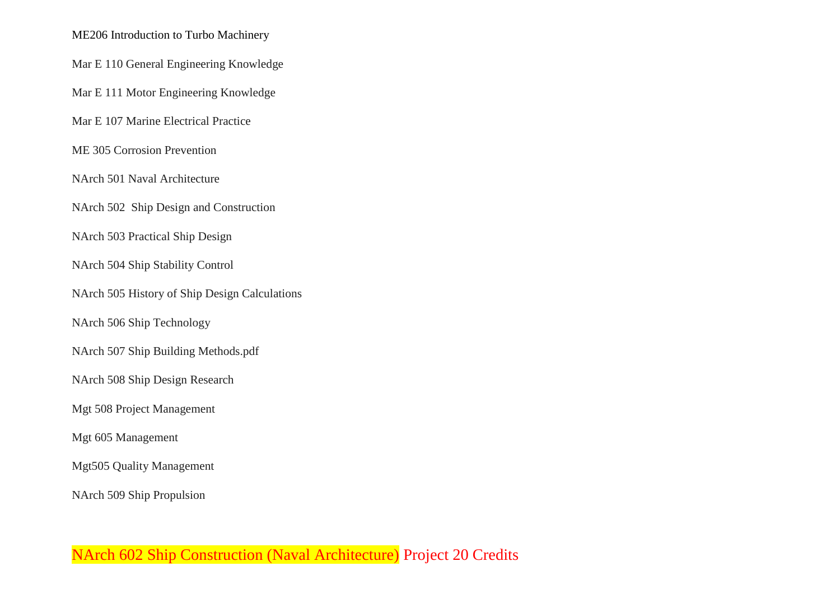#### ME206 Introduction to Turbo Machinery

Mar E 110 General Engineering Knowledge

Mar E 111 Motor Engineering Knowledge

Mar E 107 Marine Electrical Practice

ME 305 Corrosion Prevention

NArch 501 Naval Architecture

NArch 502 Ship Design and Construction

NArch 503 Practical Ship Design

NArch 504 Ship Stability Control

NArch 505 History of Ship Design Calculations

NArch 506 Ship Technology

NArch 507 Ship Building Methods.pdf

NArch 508 Ship Design Research

Mgt 508 Project Management

Mgt 605 Management

Mgt505 Quality Management

NArch 509 Ship Propulsion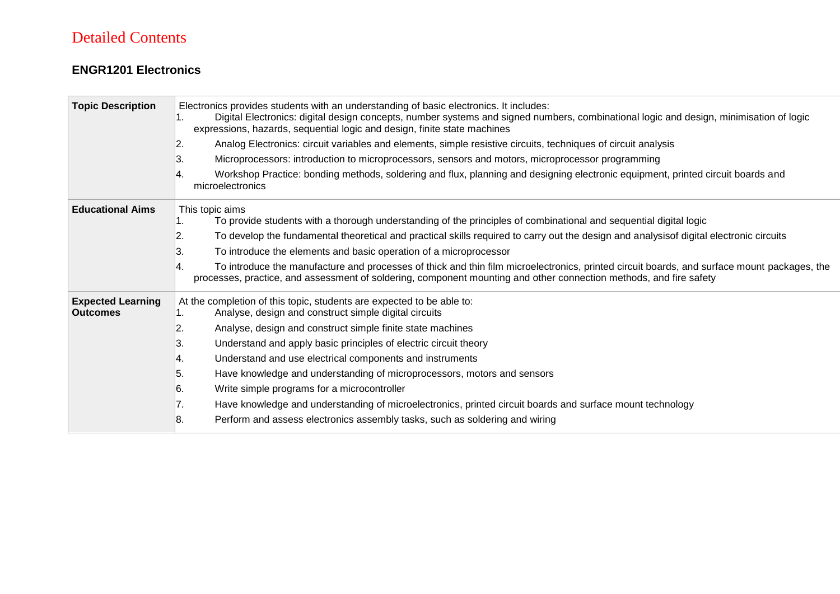# Detailed Contents

### **ENGR1201 Electronics**

| <b>Topic Description</b>                    | Electronics provides students with an understanding of basic electronics. It includes:<br>Digital Electronics: digital design concepts, number systems and signed numbers, combinational logic and design, minimisation of logic<br>expressions, hazards, sequential logic and design, finite state machines<br>2.<br>Analog Electronics: circuit variables and elements, simple resistive circuits, techniques of circuit analysis |
|---------------------------------------------|-------------------------------------------------------------------------------------------------------------------------------------------------------------------------------------------------------------------------------------------------------------------------------------------------------------------------------------------------------------------------------------------------------------------------------------|
|                                             | Microprocessors: introduction to microprocessors, sensors and motors, microprocessor programming<br>3.                                                                                                                                                                                                                                                                                                                              |
|                                             | Workshop Practice: bonding methods, soldering and flux, planning and designing electronic equipment, printed circuit boards and<br>microelectronics                                                                                                                                                                                                                                                                                 |
| <b>Educational Aims</b>                     | This topic aims<br>To provide students with a thorough understanding of the principles of combinational and sequential digital logic                                                                                                                                                                                                                                                                                                |
|                                             | To develop the fundamental theoretical and practical skills required to carry out the design and analysisof digital electronic circuits<br>2.                                                                                                                                                                                                                                                                                       |
|                                             | To introduce the elements and basic operation of a microprocessor<br>3.                                                                                                                                                                                                                                                                                                                                                             |
|                                             | To introduce the manufacture and processes of thick and thin film microelectronics, printed circuit boards, and surface mount packages, the<br>processes, practice, and assessment of soldering, component mounting and other connection methods, and fire safety                                                                                                                                                                   |
| <b>Expected Learning</b><br><b>Outcomes</b> | At the completion of this topic, students are expected to be able to:<br>Analyse, design and construct simple digital circuits                                                                                                                                                                                                                                                                                                      |
|                                             | Analyse, design and construct simple finite state machines<br>2.                                                                                                                                                                                                                                                                                                                                                                    |
|                                             | Understand and apply basic principles of electric circuit theory<br>ΙЗ.                                                                                                                                                                                                                                                                                                                                                             |
|                                             | Understand and use electrical components and instruments<br>∣4.                                                                                                                                                                                                                                                                                                                                                                     |
|                                             | Have knowledge and understanding of microprocessors, motors and sensors<br>5.                                                                                                                                                                                                                                                                                                                                                       |
|                                             | Write simple programs for a microcontroller<br>16.                                                                                                                                                                                                                                                                                                                                                                                  |
|                                             | Have knowledge and understanding of microelectronics, printed circuit boards and surface mount technology<br>7.                                                                                                                                                                                                                                                                                                                     |
|                                             | 8.<br>Perform and assess electronics assembly tasks, such as soldering and wiring                                                                                                                                                                                                                                                                                                                                                   |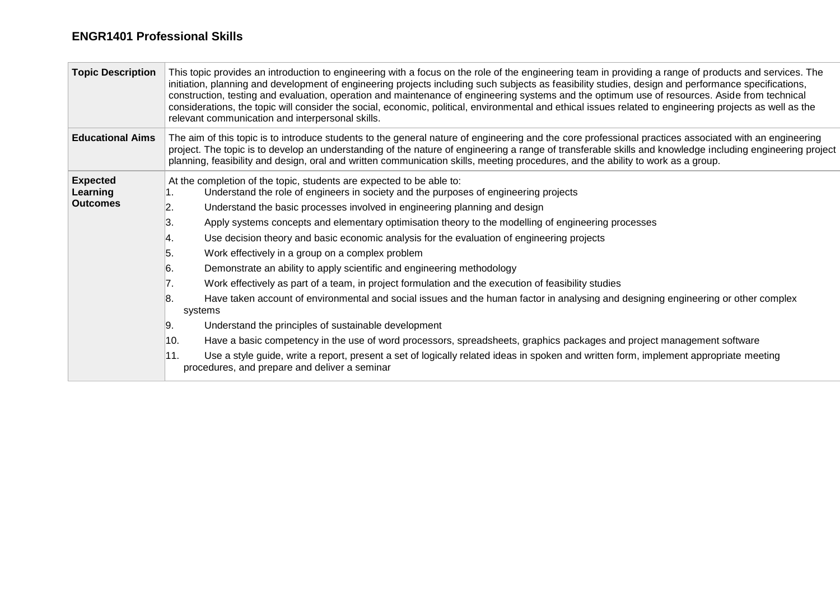#### **ENGR1401 Professional Skills**

| <b>Topic Description</b>                       | This topic provides an introduction to engineering with a focus on the role of the engineering team in providing a range of products and services. The<br>initiation, planning and development of engineering projects including such subjects as feasibility studies, design and performance specifications,<br>construction, testing and evaluation, operation and maintenance of engineering systems and the optimum use of resources. Aside from technical<br>considerations, the topic will consider the social, economic, political, environmental and ethical issues related to engineering projects as well as the<br>relevant communication and interpersonal skills.                                                                                                                                                                                                                                                                                                                                                                                                                                                                                                                                                                                                       |  |  |
|------------------------------------------------|--------------------------------------------------------------------------------------------------------------------------------------------------------------------------------------------------------------------------------------------------------------------------------------------------------------------------------------------------------------------------------------------------------------------------------------------------------------------------------------------------------------------------------------------------------------------------------------------------------------------------------------------------------------------------------------------------------------------------------------------------------------------------------------------------------------------------------------------------------------------------------------------------------------------------------------------------------------------------------------------------------------------------------------------------------------------------------------------------------------------------------------------------------------------------------------------------------------------------------------------------------------------------------------|--|--|
| <b>Educational Aims</b>                        | The aim of this topic is to introduce students to the general nature of engineering and the core professional practices associated with an engineering<br>project. The topic is to develop an understanding of the nature of engineering a range of transferable skills and knowledge including engineering project<br>planning, feasibility and design, oral and written communication skills, meeting procedures, and the ability to work as a group.                                                                                                                                                                                                                                                                                                                                                                                                                                                                                                                                                                                                                                                                                                                                                                                                                              |  |  |
| <b>Expected</b><br>Learning<br><b>Outcomes</b> | At the completion of the topic, students are expected to be able to:<br>Understand the role of engineers in society and the purposes of engineering projects<br>Understand the basic processes involved in engineering planning and design<br>2.<br>ΙЗ.<br>Apply systems concepts and elementary optimisation theory to the modelling of engineering processes<br>Use decision theory and basic economic analysis for the evaluation of engineering projects<br>14.<br>5.<br>Work effectively in a group on a complex problem<br>6.<br>Demonstrate an ability to apply scientific and engineering methodology<br>Work effectively as part of a team, in project formulation and the execution of feasibility studies<br>17.<br>Have taken account of environmental and social issues and the human factor in analysing and designing engineering or other complex<br>18.<br>systems<br>Understand the principles of sustainable development<br>19.<br>Have a basic competency in the use of word processors, spreadsheets, graphics packages and project management software<br>10.<br>11.<br>Use a style guide, write a report, present a set of logically related ideas in spoken and written form, implement appropriate meeting<br>procedures, and prepare and deliver a seminar |  |  |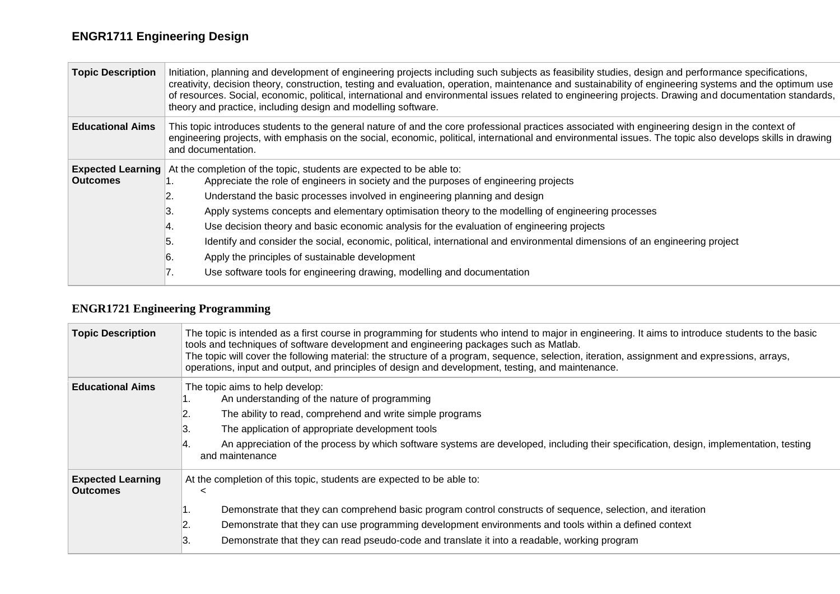# **ENGR1711 Engineering Design**

| <b>Topic Description</b>                    | Initiation, planning and development of engineering projects including such subjects as feasibility studies, design and performance specifications,<br>creativity, decision theory, construction, testing and evaluation, operation, maintenance and sustainability of engineering systems and the optimum use<br>of resources. Social, economic, political, international and environmental issues related to engineering projects. Drawing and documentation standards,<br>theory and practice, including design and modelling software. |  |
|---------------------------------------------|--------------------------------------------------------------------------------------------------------------------------------------------------------------------------------------------------------------------------------------------------------------------------------------------------------------------------------------------------------------------------------------------------------------------------------------------------------------------------------------------------------------------------------------------|--|
| <b>Educational Aims</b>                     | This topic introduces students to the general nature of and the core professional practices associated with engineering design in the context of<br>engineering projects, with emphasis on the social, economic, political, international and environmental issues. The topic also develops skills in drawing<br>and documentation.                                                                                                                                                                                                        |  |
| <b>Expected Learning</b><br><b>Outcomes</b> | At the completion of the topic, students are expected to be able to:                                                                                                                                                                                                                                                                                                                                                                                                                                                                       |  |
|                                             | Appreciate the role of engineers in society and the purposes of engineering projects                                                                                                                                                                                                                                                                                                                                                                                                                                                       |  |
|                                             | Understand the basic processes involved in engineering planning and design                                                                                                                                                                                                                                                                                                                                                                                                                                                                 |  |
|                                             | Apply systems concepts and elementary optimisation theory to the modelling of engineering processes                                                                                                                                                                                                                                                                                                                                                                                                                                        |  |
|                                             | Use decision theory and basic economic analysis for the evaluation of engineering projects<br>4.                                                                                                                                                                                                                                                                                                                                                                                                                                           |  |
|                                             | Identify and consider the social, economic, political, international and environmental dimensions of an engineering project<br>5.                                                                                                                                                                                                                                                                                                                                                                                                          |  |
|                                             | Apply the principles of sustainable development<br>6.                                                                                                                                                                                                                                                                                                                                                                                                                                                                                      |  |
|                                             | Use software tools for engineering drawing, modelling and documentation<br>. .                                                                                                                                                                                                                                                                                                                                                                                                                                                             |  |

## **ENGR1721 Engineering Programming**

| <b>Topic Description</b>                    | The topic is intended as a first course in programming for students who intend to major in engineering. It aims to introduce students to the basic<br>tools and techniques of software development and engineering packages such as Matlab.<br>The topic will cover the following material: the structure of a program, sequence, selection, iteration, assignment and expressions, arrays,<br>operations, input and output, and principles of design and development, testing, and maintenance. |
|---------------------------------------------|--------------------------------------------------------------------------------------------------------------------------------------------------------------------------------------------------------------------------------------------------------------------------------------------------------------------------------------------------------------------------------------------------------------------------------------------------------------------------------------------------|
| <b>Educational Aims</b>                     | The topic aims to help develop:<br>An understanding of the nature of programming<br>The ability to read, comprehend and write simple programs<br>12.<br>The application of appropriate development tools<br>ΙЗ.<br>An appreciation of the process by which software systems are developed, including their specification, design, implementation, testing<br>and maintenance                                                                                                                     |
| <b>Expected Learning</b><br><b>Outcomes</b> | At the completion of this topic, students are expected to be able to:<br>$\,<\,$<br>Demonstrate that they can comprehend basic program control constructs of sequence, selection, and iteration<br>Demonstrate that they can use programming development environments and tools within a defined context<br>2.<br>ΙЗ.<br>Demonstrate that they can read pseudo-code and translate it into a readable, working program                                                                            |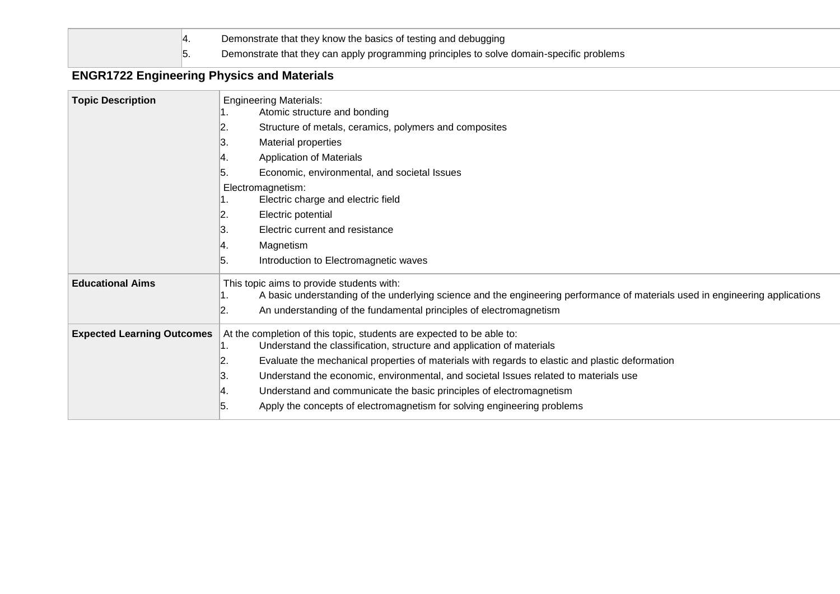

4. Demonstrate that they know the basics of testing and debugging

5. Demonstrate that they can apply programming principles to solve domain-specific problems

## **ENGR1722 Engineering Physics and Materials**

| <b>Topic Description</b>          | <b>Engineering Materials:</b><br>Atomic structure and bonding                                                                                        |
|-----------------------------------|------------------------------------------------------------------------------------------------------------------------------------------------------|
|                                   | 2.<br>Structure of metals, ceramics, polymers and composites                                                                                         |
|                                   | 3.<br>Material properties                                                                                                                            |
|                                   | <b>Application of Materials</b><br>4.                                                                                                                |
|                                   | 5.<br>Economic, environmental, and societal Issues                                                                                                   |
|                                   | Electromagnetism:<br>Electric charge and electric field                                                                                              |
|                                   | 2.<br>Electric potential                                                                                                                             |
|                                   | 3.<br>Electric current and resistance                                                                                                                |
|                                   | Magnetism<br>4.                                                                                                                                      |
|                                   | 5.<br>Introduction to Electromagnetic waves                                                                                                          |
| <b>Educational Aims</b>           | This topic aims to provide students with:                                                                                                            |
|                                   | A basic understanding of the underlying science and the engineering performance of materials used in engineering applications                        |
|                                   | An understanding of the fundamental principles of electromagnetism<br>2.                                                                             |
| <b>Expected Learning Outcomes</b> | At the completion of this topic, students are expected to be able to:<br>Understand the classification, structure and application of materials<br>1. |
|                                   | Evaluate the mechanical properties of materials with regards to elastic and plastic deformation<br>2.                                                |
|                                   | 3.<br>Understand the economic, environmental, and societal Issues related to materials use                                                           |
|                                   | Understand and communicate the basic principles of electromagnetism<br>∣4.                                                                           |
|                                   | Apply the concepts of electromagnetism for solving engineering problems<br>5.                                                                        |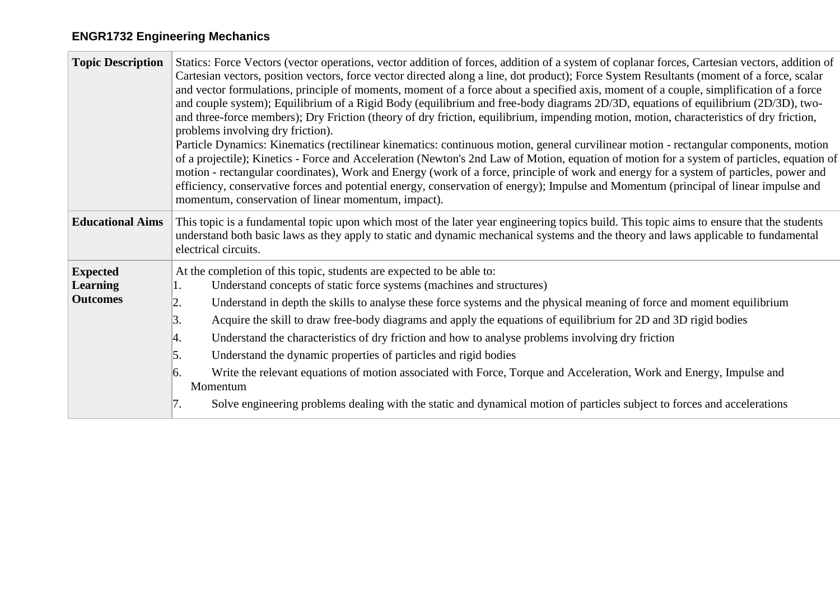# **ENGR1732 Engineering Mechanics**

| <b>Topic Description</b>                              | Statics: Force Vectors (vector operations, vector addition of forces, addition of a system of coplanar forces, Cartesian vectors, addition of<br>Cartesian vectors, position vectors, force vector directed along a line, dot product); Force System Resultants (moment of a force, scalar<br>and vector formulations, principle of moments, moment of a force about a specified axis, moment of a couple, simplification of a force<br>and couple system); Equilibrium of a Rigid Body (equilibrium and free-body diagrams 2D/3D, equations of equilibrium (2D/3D), two-<br>and three-force members); Dry Friction (theory of dry friction, equilibrium, impending motion, motion, characteristics of dry friction,<br>problems involving dry friction).<br>Particle Dynamics: Kinematics (rectilinear kinematics: continuous motion, general curvilinear motion - rectangular components, motion<br>of a projectile); Kinetics - Force and Acceleration (Newton's 2nd Law of Motion, equation of motion for a system of particles, equation of<br>motion - rectangular coordinates), Work and Energy (work of a force, principle of work and energy for a system of particles, power and<br>efficiency, conservative forces and potential energy, conservation of energy); Impulse and Momentum (principal of linear impulse and<br>momentum, conservation of linear momentum, impact). |  |
|-------------------------------------------------------|-------------------------------------------------------------------------------------------------------------------------------------------------------------------------------------------------------------------------------------------------------------------------------------------------------------------------------------------------------------------------------------------------------------------------------------------------------------------------------------------------------------------------------------------------------------------------------------------------------------------------------------------------------------------------------------------------------------------------------------------------------------------------------------------------------------------------------------------------------------------------------------------------------------------------------------------------------------------------------------------------------------------------------------------------------------------------------------------------------------------------------------------------------------------------------------------------------------------------------------------------------------------------------------------------------------------------------------------------------------------------------------------|--|
| <b>Educational Aims</b>                               | This topic is a fundamental topic upon which most of the later year engineering topics build. This topic aims to ensure that the students<br>understand both basic laws as they apply to static and dynamic mechanical systems and the theory and laws applicable to fundamental<br>electrical circuits.                                                                                                                                                                                                                                                                                                                                                                                                                                                                                                                                                                                                                                                                                                                                                                                                                                                                                                                                                                                                                                                                                  |  |
| <b>Expected</b><br><b>Learning</b><br><b>Outcomes</b> | At the completion of this topic, students are expected to be able to:<br>Understand concepts of static force systems (machines and structures)<br>Understand in depth the skills to analyse these force systems and the physical meaning of force and moment equilibrium<br>2.<br>Acquire the skill to draw free-body diagrams and apply the equations of equilibrium for 2D and 3D rigid bodies<br>3.<br>Understand the characteristics of dry friction and how to analyse problems involving dry friction<br>4.<br>5.<br>Understand the dynamic properties of particles and rigid bodies<br>Write the relevant equations of motion associated with Force, Torque and Acceleration, Work and Energy, Impulse and<br>6.<br>Momentum<br>Solve engineering problems dealing with the static and dynamical motion of particles subject to forces and accelerations<br>7.                                                                                                                                                                                                                                                                                                                                                                                                                                                                                                                     |  |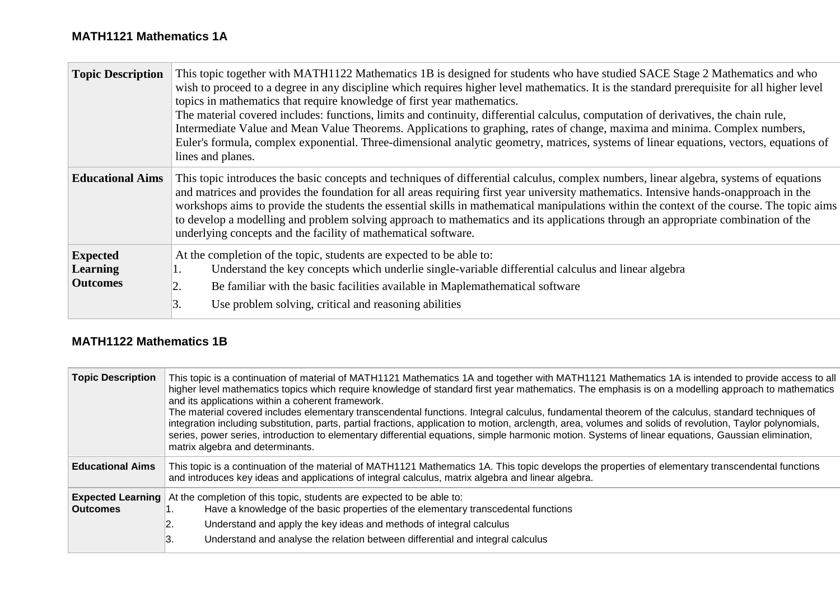#### **MATH1121 Mathematics 1A**

 $\sim$ 

| <b>Topic Description</b>                              | This topic together with MATH1122 Mathematics 1B is designed for students who have studied SACE Stage 2 Mathematics and who<br>wish to proceed to a degree in any discipline which requires higher level mathematics. It is the standard prerequisite for all higher level<br>topics in mathematics that require knowledge of first year mathematics.<br>The material covered includes: functions, limits and continuity, differential calculus, computation of derivatives, the chain rule,<br>Intermediate Value and Mean Value Theorems. Applications to graphing, rates of change, maxima and minima. Complex numbers,<br>Euler's formula, complex exponential. Three-dimensional analytic geometry, matrices, systems of linear equations, vectors, equations of<br>lines and planes. |
|-------------------------------------------------------|--------------------------------------------------------------------------------------------------------------------------------------------------------------------------------------------------------------------------------------------------------------------------------------------------------------------------------------------------------------------------------------------------------------------------------------------------------------------------------------------------------------------------------------------------------------------------------------------------------------------------------------------------------------------------------------------------------------------------------------------------------------------------------------------|
| <b>Educational Aims</b>                               | This topic introduces the basic concepts and techniques of differential calculus, complex numbers, linear algebra, systems of equations<br>and matrices and provides the foundation for all areas requiring first year university mathematics. Intensive hands-onapproach in the<br>workshops aims to provide the students the essential skills in mathematical manipulations within the context of the course. The topic aims<br>to develop a modelling and problem solving approach to mathematics and its applications through an appropriate combination of the<br>underlying concepts and the facility of mathematical software.                                                                                                                                                      |
| <b>Expected</b><br><b>Learning</b><br><b>Outcomes</b> | At the completion of the topic, students are expected to be able to:<br>Understand the key concepts which underlie single-variable differential calculus and linear algebra<br>Be familiar with the basic facilities available in Maplemathematical software<br>2.<br>3.<br>Use problem solving, critical and reasoning abilities                                                                                                                                                                                                                                                                                                                                                                                                                                                          |

### **MATH1122 Mathematics 1B**

| <b>Topic Description</b>                    | This topic is a continuation of material of MATH1121 Mathematics 1A and together with MATH1121 Mathematics 1A is intended to provide access to all<br>higher level mathematics topics which require knowledge of standard first year mathematics. The emphasis is on a modelling approach to mathematics<br>and its applications within a coherent framework.<br>The material covered includes elementary transcendental functions. Integral calculus, fundamental theorem of the calculus, standard techniques of<br>integration including substitution, parts, partial fractions, application to motion, arclength, area, volumes and solids of revolution, Taylor polynomials,<br>series, power series, introduction to elementary differential equations, simple harmonic motion. Systems of linear equations, Gaussian elimination,<br>matrix algebra and determinants. |  |  |
|---------------------------------------------|------------------------------------------------------------------------------------------------------------------------------------------------------------------------------------------------------------------------------------------------------------------------------------------------------------------------------------------------------------------------------------------------------------------------------------------------------------------------------------------------------------------------------------------------------------------------------------------------------------------------------------------------------------------------------------------------------------------------------------------------------------------------------------------------------------------------------------------------------------------------------|--|--|
| <b>Educational Aims</b>                     | This topic is a continuation of the material of MATH1121 Mathematics 1A. This topic develops the properties of elementary transcendental functions<br>and introduces key ideas and applications of integral calculus, matrix algebra and linear algebra.                                                                                                                                                                                                                                                                                                                                                                                                                                                                                                                                                                                                                     |  |  |
| <b>Expected Learning</b><br><b>Outcomes</b> | At the completion of this topic, students are expected to be able to:<br>Have a knowledge of the basic properties of the elementary transcedental functions<br>Understand and apply the key ideas and methods of integral calculus<br>2.<br>Understand and analyse the relation between differential and integral calculus<br>3.                                                                                                                                                                                                                                                                                                                                                                                                                                                                                                                                             |  |  |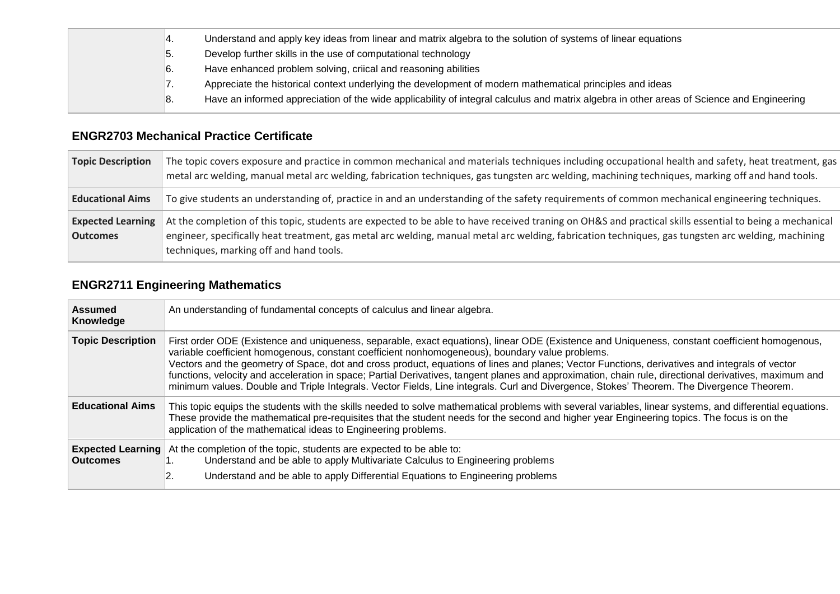|  | ¶4. | Understand and apply key ideas from linear and matrix algebra to the solution of systems of linear equations                              |
|--|-----|-------------------------------------------------------------------------------------------------------------------------------------------|
|  | ౹ఏ. | Develop further skills in the use of computational technology                                                                             |
|  | ь.  | Have enhanced problem solving, criical and reasoning abilities                                                                            |
|  | . . | Appreciate the historical context underlying the development of modern mathematical principles and ideas                                  |
|  | ଞ.  | Have an informed appreciation of the wide applicability of integral calculus and matrix algebra in other areas of Science and Engineering |
|  |     |                                                                                                                                           |

### **ENGR2703 Mechanical Practice Certificate**

| <b>Topic Description</b>                    | The topic covers exposure and practice in common mechanical and materials techniques including occupational health and safety, heat treatment, gas<br>metal arc welding, manual metal arc welding, fabrication techniques, gas tungsten arc welding, machining techniques, marking off and hand tools.                                                    |  |
|---------------------------------------------|-----------------------------------------------------------------------------------------------------------------------------------------------------------------------------------------------------------------------------------------------------------------------------------------------------------------------------------------------------------|--|
| <b>Educational Aims</b>                     | To give students an understanding of, practice in and an understanding of the safety requirements of common mechanical engineering techniques.                                                                                                                                                                                                            |  |
| <b>Expected Learning</b><br><b>Outcomes</b> | At the completion of this topic, students are expected to be able to have received traning on OH&S and practical skills essential to being a mechanical<br>engineer, specifically heat treatment, gas metal arc welding, manual metal arc welding, fabrication techniques, gas tungsten arc welding, machining<br>techniques, marking off and hand tools. |  |

# **ENGR2711 Engineering Mathematics**

| <b>Assumed</b><br>Knowledge                 | An understanding of fundamental concepts of calculus and linear algebra.                                                                                                                                                                                                                                                                                                                                                                                                                                                                                                                                                                                                                                   |  |  |
|---------------------------------------------|------------------------------------------------------------------------------------------------------------------------------------------------------------------------------------------------------------------------------------------------------------------------------------------------------------------------------------------------------------------------------------------------------------------------------------------------------------------------------------------------------------------------------------------------------------------------------------------------------------------------------------------------------------------------------------------------------------|--|--|
| <b>Topic Description</b>                    | First order ODE (Existence and uniqueness, separable, exact equations), linear ODE (Existence and Uniqueness, constant coefficient homogenous,<br>variable coefficient homogenous, constant coefficient nonhomogeneous), boundary value problems.<br>Vectors and the geometry of Space, dot and cross product, equations of lines and planes; Vector Functions, derivatives and integrals of vector<br>functions, velocity and acceleration in space; Partial Derivatives, tangent planes and approximation, chain rule, directional derivatives, maximum and<br>minimum values. Double and Triple Integrals. Vector Fields, Line integrals. Curl and Divergence, Stokes' Theorem. The Divergence Theorem. |  |  |
| <b>Educational Aims</b>                     | This topic equips the students with the skills needed to solve mathematical problems with several variables, linear systems, and differential equations.<br>These provide the mathematical pre-requisites that the student needs for the second and higher year Engineering topics. The focus is on the<br>application of the mathematical ideas to Engineering problems.                                                                                                                                                                                                                                                                                                                                  |  |  |
| <b>Expected Learning</b><br><b>Outcomes</b> | At the completion of the topic, students are expected to be able to:<br>Understand and be able to apply Multivariate Calculus to Engineering problems<br>Understand and be able to apply Differential Equations to Engineering problems                                                                                                                                                                                                                                                                                                                                                                                                                                                                    |  |  |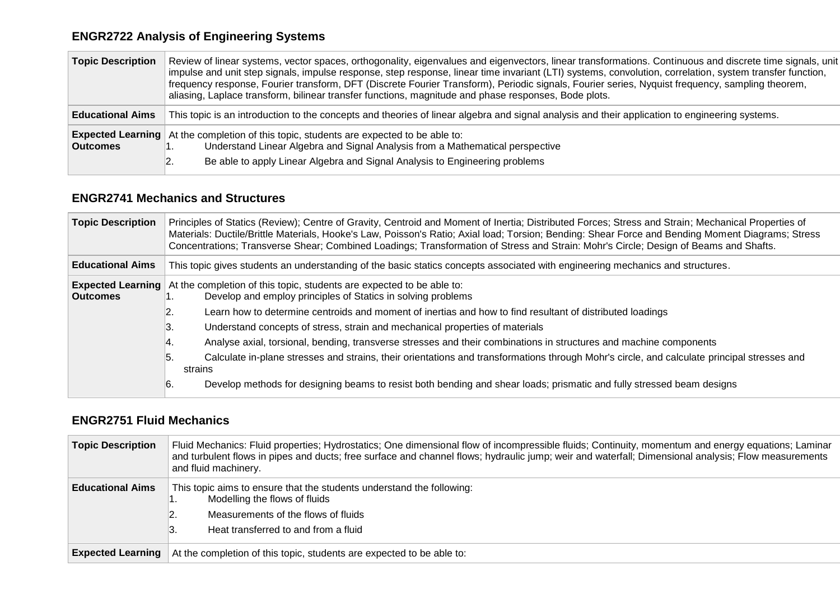# **ENGR2722 Analysis of Engineering Systems**

| <b>Topic Description</b> | Review of linear systems, vector spaces, orthogonality, eigenvalues and eigenvectors, linear transformations. Continuous and discrete time signals, unit<br>impulse and unit step signals, impulse response, step response, linear time invariant (LTI) systems, convolution, correlation, system transfer function,<br>frequency response, Fourier transform, DFT (Discrete Fourier Transform), Periodic signals, Fourier series, Nyquist frequency, sampling theorem,<br>aliasing, Laplace transform, bilinear transfer functions, magnitude and phase responses, Bode plots. |
|--------------------------|---------------------------------------------------------------------------------------------------------------------------------------------------------------------------------------------------------------------------------------------------------------------------------------------------------------------------------------------------------------------------------------------------------------------------------------------------------------------------------------------------------------------------------------------------------------------------------|
| <b>Educational Aims</b>  | This topic is an introduction to the concepts and theories of linear algebra and signal analysis and their application to engineering systems.                                                                                                                                                                                                                                                                                                                                                                                                                                  |
| <b>Outcomes</b>          | <b>Expected Learning</b> At the completion of this topic, students are expected to be able to:<br>Understand Linear Algebra and Signal Analysis from a Mathematical perspective<br>Be able to apply Linear Algebra and Signal Analysis to Engineering problems                                                                                                                                                                                                                                                                                                                  |

### **ENGR2741 Mechanics and Structures**

| <b>Topic Description</b>                    | Principles of Statics (Review); Centre of Gravity, Centroid and Moment of Inertia; Distributed Forces; Stress and Strain; Mechanical Properties of<br>Materials: Ductile/Brittle Materials, Hooke's Law, Poisson's Ratio; Axial load; Torsion; Bending: Shear Force and Bending Moment Diagrams; Stress<br>Concentrations; Transverse Shear; Combined Loadings; Transformation of Stress and Strain: Mohr's Circle; Design of Beams and Shafts. |  |  |
|---------------------------------------------|-------------------------------------------------------------------------------------------------------------------------------------------------------------------------------------------------------------------------------------------------------------------------------------------------------------------------------------------------------------------------------------------------------------------------------------------------|--|--|
| <b>Educational Aims</b>                     | This topic gives students an understanding of the basic statics concepts associated with engineering mechanics and structures.                                                                                                                                                                                                                                                                                                                  |  |  |
| <b>Expected Learning</b><br><b>Outcomes</b> | At the completion of this topic, students are expected to be able to:<br>Develop and employ principles of Statics in solving problems                                                                                                                                                                                                                                                                                                           |  |  |
|                                             | Learn how to determine centroids and moment of inertias and how to find resultant of distributed loadings                                                                                                                                                                                                                                                                                                                                       |  |  |
|                                             | Understand concepts of stress, strain and mechanical properties of materials<br>ΙЗ.                                                                                                                                                                                                                                                                                                                                                             |  |  |
|                                             | Analyse axial, torsional, bending, transverse stresses and their combinations in structures and machine components<br>14.                                                                                                                                                                                                                                                                                                                       |  |  |
|                                             | Calculate in-plane stresses and strains, their orientations and transformations through Mohr's circle, and calculate principal stresses and<br>5.<br>strains                                                                                                                                                                                                                                                                                    |  |  |
|                                             | Develop methods for designing beams to resist both bending and shear loads; prismatic and fully stressed beam designs<br>16.                                                                                                                                                                                                                                                                                                                    |  |  |

#### **ENGR2751 Fluid Mechanics**

| <b>Topic Description</b> | Fluid Mechanics: Fluid properties; Hydrostatics; One dimensional flow of incompressible fluids; Continuity, momentum and energy equations; Laminar<br>and turbulent flows in pipes and ducts; free surface and channel flows; hydraulic jump; weir and waterfall; Dimensional analysis; Flow measurements<br>and fluid machinery. |
|--------------------------|-----------------------------------------------------------------------------------------------------------------------------------------------------------------------------------------------------------------------------------------------------------------------------------------------------------------------------------|
| <b>Educational Aims</b>  | This topic aims to ensure that the students understand the following:<br>Modelling the flows of fluids<br>. .<br>Measurements of the flows of fluids<br>Β.<br>Heat transferred to and from a fluid                                                                                                                                |
| <b>Expected Learning</b> | At the completion of this topic, students are expected to be able to:                                                                                                                                                                                                                                                             |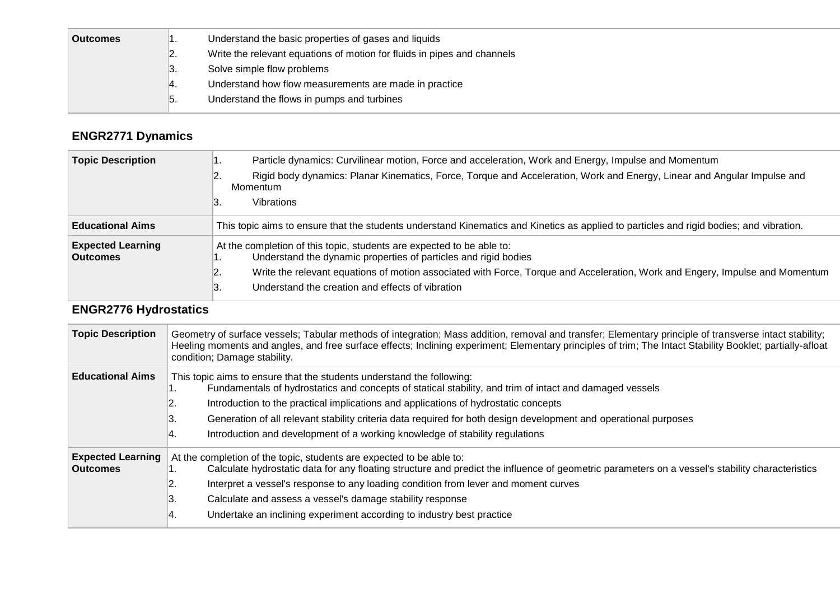| <b>Outcomes</b> |      | Understand the basic properties of gases and liquids                    |
|-----------------|------|-------------------------------------------------------------------------|
|                 | 2.   | Write the relevant equations of motion for fluids in pipes and channels |
|                 | 3.   | Solve simple flow problems                                              |
|                 | -14. | Understand how flow measurements are made in practice                   |
|                 | ט.   | Understand the flows in pumps and turbines                              |

# **ENGR2771 Dynamics**

| <b>Topic Description</b>                    | Particle dynamics: Curvilinear motion, Force and acceleration, Work and Energy, Impulse and Momentum<br>. .                               |  |  |  |
|---------------------------------------------|-------------------------------------------------------------------------------------------------------------------------------------------|--|--|--|
|                                             | Rigid body dynamics: Planar Kinematics, Force, Torque and Acceleration, Work and Energy, Linear and Angular Impulse and<br>2.<br>Momentum |  |  |  |
|                                             | 3.<br>Vibrations                                                                                                                          |  |  |  |
| <b>Educational Aims</b>                     | This topic aims to ensure that the students understand Kinematics and Kinetics as applied to particles and rigid bodies; and vibration.   |  |  |  |
| <b>Expected Learning</b><br><b>Outcomes</b> | At the completion of this topic, students are expected to be able to:<br>Understand the dynamic properties of particles and rigid bodies  |  |  |  |
|                                             | Write the relevant equations of motion associated with Force, Torque and Acceleration, Work and Engery, Impulse and Momentum<br>2.        |  |  |  |
|                                             | Understand the creation and effects of vibration<br>3.                                                                                    |  |  |  |

# **ENGR2776 Hydrostatics**

| <b>Topic Description</b>                    | Geometry of surface vessels; Tabular methods of integration; Mass addition, removal and transfer; Elementary principle of transverse intact stability;<br>Heeling moments and angles, and free surface effects; Inclining experiment; Elementary principles of trim; The Intact Stability Booklet; partially-afloat<br>condition; Damage stability.                                                                                                                                                  |
|---------------------------------------------|------------------------------------------------------------------------------------------------------------------------------------------------------------------------------------------------------------------------------------------------------------------------------------------------------------------------------------------------------------------------------------------------------------------------------------------------------------------------------------------------------|
| <b>Educational Aims</b>                     | This topic aims to ensure that the students understand the following:<br>Fundamentals of hydrostatics and concepts of statical stability, and trim of intact and damaged vessels<br>. .<br>Introduction to the practical implications and applications of hydrostatic concepts<br>2.<br>Β.<br>Generation of all relevant stability criteria data required for both design development and operational purposes<br>4.<br>Introduction and development of a working knowledge of stability regulations |
| <b>Expected Learning</b><br><b>Outcomes</b> | At the completion of the topic, students are expected to be able to:<br>Calculate hydrostatic data for any floating structure and predict the influence of geometric parameters on a vessel's stability characteristics<br>Interpret a vessel's response to any loading condition from lever and moment curves<br>2.<br>3.<br>Calculate and assess a vessel's damage stability response<br>Undertake an inclining experiment according to industry best practice<br>4.                               |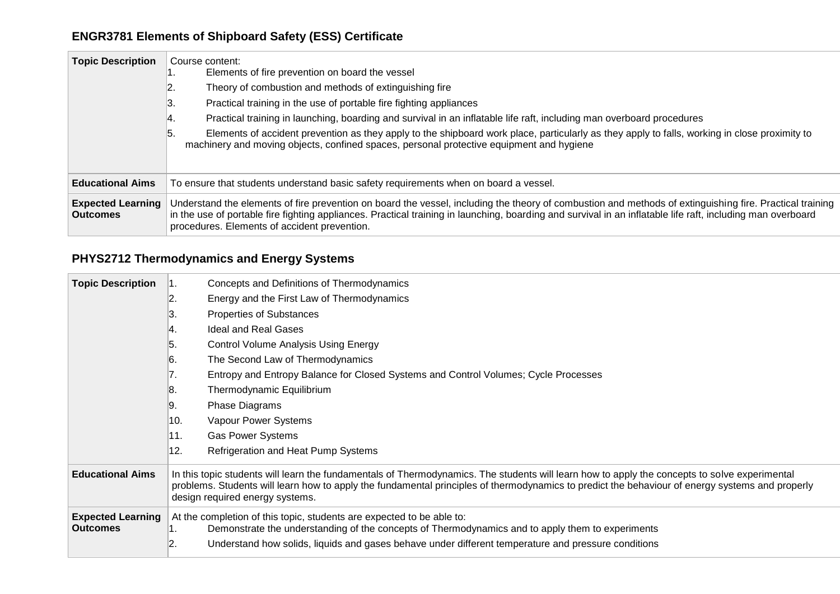# **ENGR3781 Elements of Shipboard Safety (ESS) Certificate**

| <b>Topic Description</b>                    | Course content:<br>Elements of fire prevention on board the vessel<br>. .<br>Theory of combustion and methods of extinguishing fire<br>z.<br>Practical training in the use of portable fire fighting appliances<br>3.<br>Practical training in launching, boarding and survival in an inflatable life raft, including man overboard procedures<br>14.<br>Elements of accident prevention as they apply to the shipboard work place, particularly as they apply to falls, working in close proximity to<br>5.<br>machinery and moving objects, confined spaces, personal protective equipment and hygiene |  |  |
|---------------------------------------------|----------------------------------------------------------------------------------------------------------------------------------------------------------------------------------------------------------------------------------------------------------------------------------------------------------------------------------------------------------------------------------------------------------------------------------------------------------------------------------------------------------------------------------------------------------------------------------------------------------|--|--|
| <b>Educational Aims</b>                     | To ensure that students understand basic safety requirements when on board a vessel.                                                                                                                                                                                                                                                                                                                                                                                                                                                                                                                     |  |  |
| <b>Expected Learning</b><br><b>Outcomes</b> | Understand the elements of fire prevention on board the vessel, including the theory of combustion and methods of extinguishing fire. Practical training<br>in the use of portable fire fighting appliances. Practical training in launching, boarding and survival in an inflatable life raft, including man overboard<br>procedures. Elements of accident prevention.                                                                                                                                                                                                                                  |  |  |

# **PHYS2712 Thermodynamics and Energy Systems**

| <b>Topic Description</b>                    | Concepts and Definitions of Thermodynamics                                                                                                                                                                                                                                                                                          |  |
|---------------------------------------------|-------------------------------------------------------------------------------------------------------------------------------------------------------------------------------------------------------------------------------------------------------------------------------------------------------------------------------------|--|
|                                             | 2.<br>Energy and the First Law of Thermodynamics                                                                                                                                                                                                                                                                                    |  |
|                                             | З.<br>Properties of Substances                                                                                                                                                                                                                                                                                                      |  |
|                                             | <b>Ideal and Real Gases</b><br>Ι4.                                                                                                                                                                                                                                                                                                  |  |
|                                             | 5.<br><b>Control Volume Analysis Using Energy</b>                                                                                                                                                                                                                                                                                   |  |
|                                             | The Second Law of Thermodynamics<br>6.                                                                                                                                                                                                                                                                                              |  |
|                                             | Entropy and Entropy Balance for Closed Systems and Control Volumes; Cycle Processes<br>7.                                                                                                                                                                                                                                           |  |
|                                             | 8.<br>Thermodynamic Equilibrium                                                                                                                                                                                                                                                                                                     |  |
|                                             | 9.<br>Phase Diagrams                                                                                                                                                                                                                                                                                                                |  |
|                                             | 10.<br>Vapour Power Systems                                                                                                                                                                                                                                                                                                         |  |
|                                             | 11.<br><b>Gas Power Systems</b>                                                                                                                                                                                                                                                                                                     |  |
|                                             | 12.<br>Refrigeration and Heat Pump Systems                                                                                                                                                                                                                                                                                          |  |
| <b>Educational Aims</b>                     | In this topic students will learn the fundamentals of Thermodynamics. The students will learn how to apply the concepts to solve experimental<br>problems. Students will learn how to apply the fundamental principles of thermodynamics to predict the behaviour of energy systems and properly<br>design required energy systems. |  |
| <b>Expected Learning</b><br><b>Outcomes</b> | At the completion of this topic, students are expected to be able to:<br>Demonstrate the understanding of the concepts of Thermodynamics and to apply them to experiments<br>Ί.                                                                                                                                                     |  |
|                                             | 12.<br>Understand how solids, liquids and gases behave under different temperature and pressure conditions                                                                                                                                                                                                                          |  |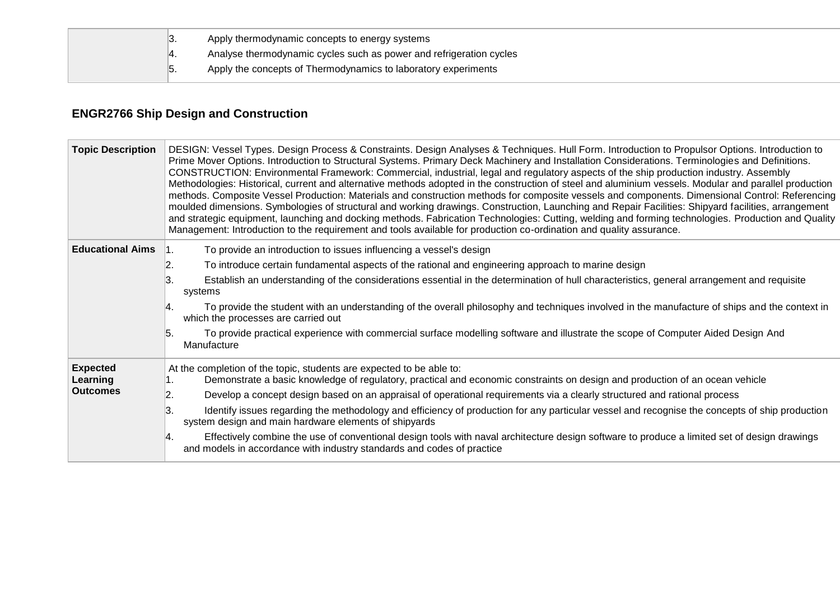$\overline{\phantom{a}}$ 

3. Apply thermodynamic concepts to energy systems

4. Analyse thermodynamic cycles such as power and refrigeration cycles

5. Apply the concepts of Thermodynamics to laboratory experiments

## **ENGR2766 Ship Design and Construction**

| <b>Topic Description</b> | DESIGN: Vessel Types. Design Process & Constraints. Design Analyses & Techniques. Hull Form. Introduction to Propulsor Options. Introduction to<br>Prime Mover Options. Introduction to Structural Systems. Primary Deck Machinery and Installation Considerations. Terminologies and Definitions.<br>CONSTRUCTION: Environmental Framework: Commercial, industrial, legal and regulatory aspects of the ship production industry. Assembly<br>Methodologies: Historical, current and alternative methods adopted in the construction of steel and aluminium vessels. Modular and parallel production<br>methods. Composite Vessel Production: Materials and construction methods for composite vessels and components. Dimensional Control: Referencing<br>moulded dimensions. Symbologies of structural and working drawings. Construction, Launching and Repair Facilities: Shipyard facilities, arrangement<br>and strategic equipment, launching and docking methods. Fabrication Technologies: Cutting, welding and forming technologies. Production and Quality<br>Management: Introduction to the requirement and tools available for production co-ordination and quality assurance. |  |  |
|--------------------------|-----------------------------------------------------------------------------------------------------------------------------------------------------------------------------------------------------------------------------------------------------------------------------------------------------------------------------------------------------------------------------------------------------------------------------------------------------------------------------------------------------------------------------------------------------------------------------------------------------------------------------------------------------------------------------------------------------------------------------------------------------------------------------------------------------------------------------------------------------------------------------------------------------------------------------------------------------------------------------------------------------------------------------------------------------------------------------------------------------------------------------------------------------------------------------------------------|--|--|
| <b>Educational Aims</b>  | To provide an introduction to issues influencing a vessel's design<br>1.                                                                                                                                                                                                                                                                                                                                                                                                                                                                                                                                                                                                                                                                                                                                                                                                                                                                                                                                                                                                                                                                                                                      |  |  |
|                          | To introduce certain fundamental aspects of the rational and engineering approach to marine design<br>2.                                                                                                                                                                                                                                                                                                                                                                                                                                                                                                                                                                                                                                                                                                                                                                                                                                                                                                                                                                                                                                                                                      |  |  |
|                          | 3.<br>Establish an understanding of the considerations essential in the determination of hull characteristics, general arrangement and requisite<br>systems                                                                                                                                                                                                                                                                                                                                                                                                                                                                                                                                                                                                                                                                                                                                                                                                                                                                                                                                                                                                                                   |  |  |
|                          | To provide the student with an understanding of the overall philosophy and techniques involved in the manufacture of ships and the context in<br>l4.<br>which the processes are carried out                                                                                                                                                                                                                                                                                                                                                                                                                                                                                                                                                                                                                                                                                                                                                                                                                                                                                                                                                                                                   |  |  |
|                          | To provide practical experience with commercial surface modelling software and illustrate the scope of Computer Aided Design And<br>5.<br>Manufacture                                                                                                                                                                                                                                                                                                                                                                                                                                                                                                                                                                                                                                                                                                                                                                                                                                                                                                                                                                                                                                         |  |  |
| <b>Expected</b>          | At the completion of the topic, students are expected to be able to:                                                                                                                                                                                                                                                                                                                                                                                                                                                                                                                                                                                                                                                                                                                                                                                                                                                                                                                                                                                                                                                                                                                          |  |  |
| Learning                 | Demonstrate a basic knowledge of regulatory, practical and economic constraints on design and production of an ocean vehicle                                                                                                                                                                                                                                                                                                                                                                                                                                                                                                                                                                                                                                                                                                                                                                                                                                                                                                                                                                                                                                                                  |  |  |
| <b>Outcomes</b>          | Develop a concept design based on an appraisal of operational requirements via a clearly structured and rational process<br>12.                                                                                                                                                                                                                                                                                                                                                                                                                                                                                                                                                                                                                                                                                                                                                                                                                                                                                                                                                                                                                                                               |  |  |
|                          | Identify issues regarding the methodology and efficiency of production for any particular vessel and recognise the concepts of ship production<br>3.<br>system design and main hardware elements of shipyards                                                                                                                                                                                                                                                                                                                                                                                                                                                                                                                                                                                                                                                                                                                                                                                                                                                                                                                                                                                 |  |  |
|                          | Effectively combine the use of conventional design tools with naval architecture design software to produce a limited set of design drawings<br>Ι4.<br>and models in accordance with industry standards and codes of practice                                                                                                                                                                                                                                                                                                                                                                                                                                                                                                                                                                                                                                                                                                                                                                                                                                                                                                                                                                 |  |  |